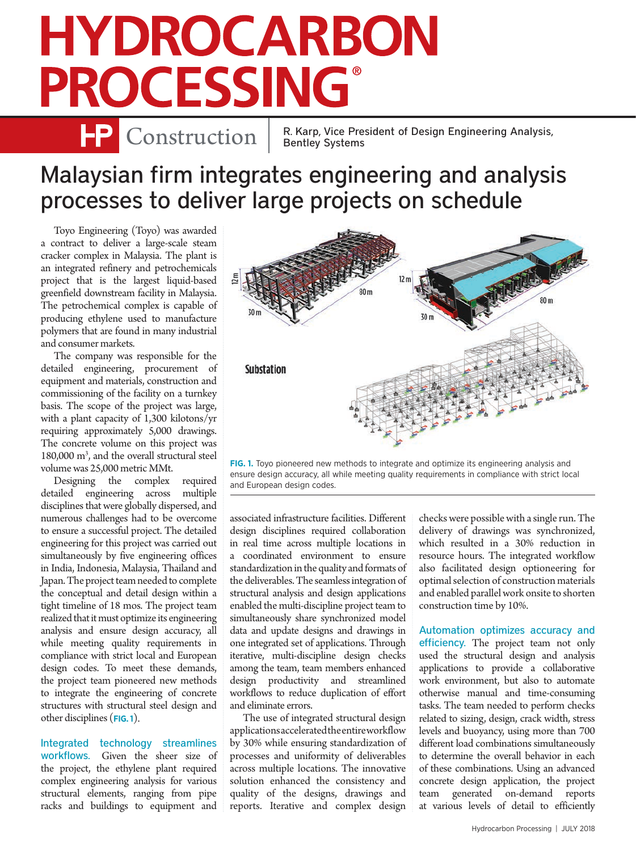## **HYDROCARBON PROCESSING**

**P** Construction | R. Karp, Vice President of Design Engineering Analysis, Bentley Systems

## Malaysian firm integrates engineering and analysis processes to deliver large projects on schedule

Toyo Engineering (Toyo) was awarded a contract to deliver a large-scale steam cracker complex in Malaysia. The plant is an integrated refinery and petrochemicals project that is the largest liquid-based greenfield downstream facility in Malaysia. The petrochemical complex is capable of producing ethylene used to manufacture polymers that are found in many industrial and consumer markets.

The company was responsible for the detailed engineering, procurement of equipment and materials, construction and commissioning of the facility on a turnkey basis. The scope of the project was large, with a plant capacity of 1,300 kilotons/yr requiring approximately 5,000 drawings. The concrete volume on this project was 180,000 m3 , and the overall structural steel volume was 25,000 metric MMt.

Designing the complex required detailed engineering across multiple disciplines that were globally dispersed, and numerous challenges had to be overcome to ensure a successful project. The detailed engineering for this project was carried out simultaneously by five engineering offices in India, Indonesia, Malaysia, Thailand and Japan. The project team needed to complete the conceptual and detail design within a tight timeline of 18 mos. The project team realized that it must optimize its engineering analysis and ensure design accuracy, all while meeting quality requirements in compliance with strict local and European design codes. To meet these demands, the project team pioneered new methods to integrate the engineering of concrete structures with structural steel design and other disciplines (**FIG. 1**).

Integrated technology streamlines workflows. Given the sheer size of the project, the ethylene plant required complex engineering analysis for various structural elements, ranging from pipe racks and buildings to equipment and



**FIG. 1.** Toyo pioneered new methods to integrate and optimize its engineering analysis and ensure design accuracy, all while meeting quality requirements in compliance with strict local and European design codes.

associated infrastructure facilities. Different design disciplines required collaboration in real time across multiple locations in a coordinated environment to ensure standardization in the quality and formats of the deliverables. The seamless integration of structural analysis and design applications enabled the multi-discipline project team to simultaneously share synchronized model data and update designs and drawings in one integrated set of applications. Through iterative, multi-discipline design checks among the team, team members enhanced design productivity and streamlined workflows to reduce duplication of effort and eliminate errors.

The use of integrated structural design applications accelerated the entire workflow by 30% while ensuring standardization of processes and uniformity of deliverables across multiple locations. The innovative solution enhanced the consistency and quality of the designs, drawings and reports. Iterative and complex design

checks were possible with a single run. The delivery of drawings was synchronized, which resulted in a 30% reduction in resource hours. The integrated workflow also facilitated design optioneering for optimal selection of construction materials and enabled parallel work onsite to shorten construction time by 10%.

Automation optimizes accuracy and efficiency. The project team not only used the structural design and analysis applications to provide a collaborative work environment, but also to automate otherwise manual and time-consuming tasks. The team needed to perform checks related to sizing, design, crack width, stress levels and buoyancy, using more than 700 different load combinations simultaneously to determine the overall behavior in each of these combinations. Using an advanced concrete design application, the project team generated on-demand reports at various levels of detail to efficiently